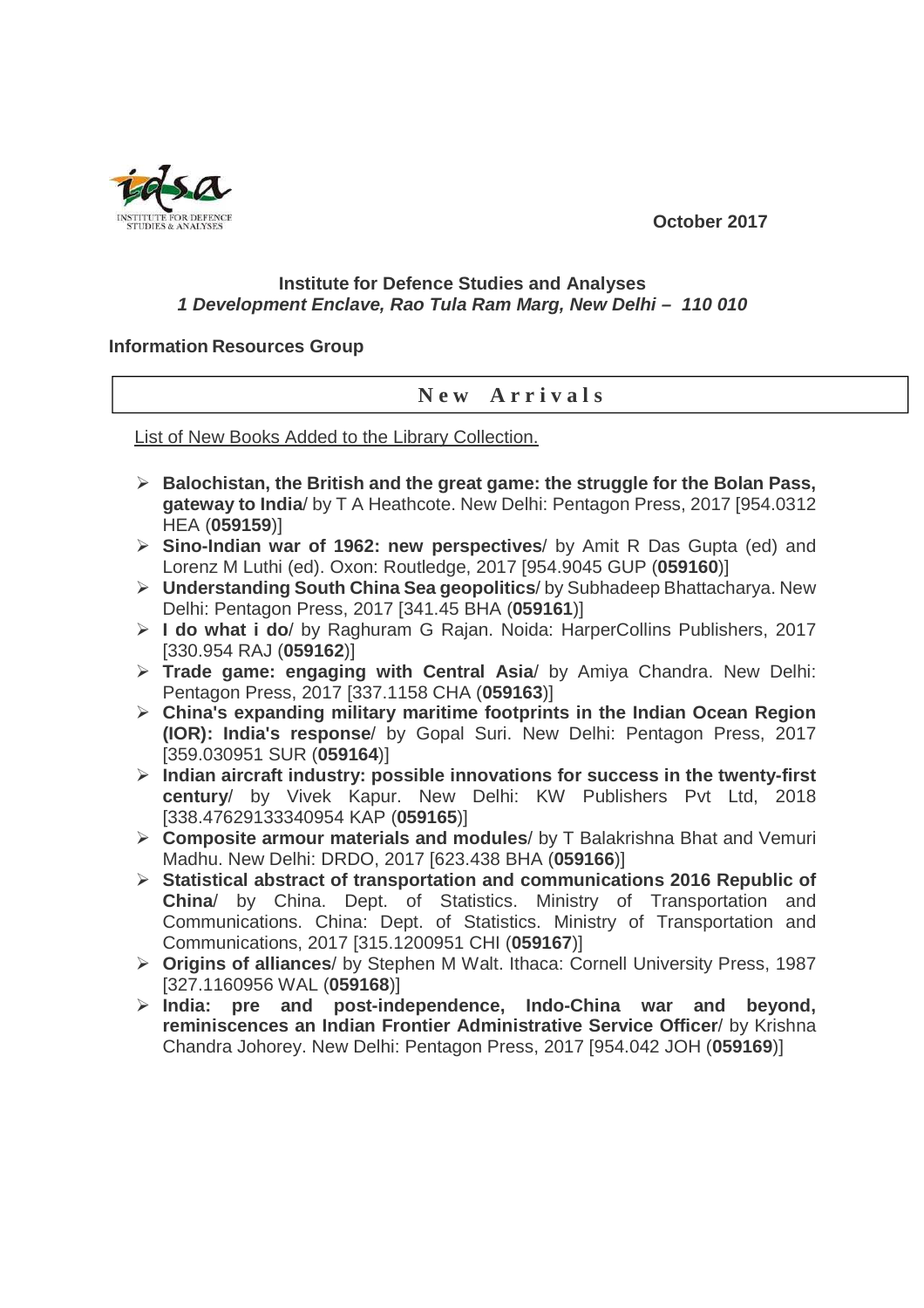**October 2017** 



## **Institute for Defence Studies and Analyses 1 Development Enclave, Rao Tula Ram Marg, New Delhi – 110 010**

## **Information Resources Group**

## **N e w A r r i v a l s**

List of New Books Added to the Library Collection.

- **Balochistan, the British and the great game: the struggle for the Bolan Pass, gateway to India**/ by T A Heathcote. New Delhi: Pentagon Press, 2017 [954.0312 HEA (**059159**)]
- **Sino-Indian war of 1962: new perspectives**/ by Amit R Das Gupta (ed) and Lorenz M Luthi (ed). Oxon: Routledge, 2017 [954.9045 GUP (**059160**)]
- **Understanding South China Sea geopolitics**/ by Subhadeep Bhattacharya. New Delhi: Pentagon Press, 2017 [341.45 BHA (**059161**)]
- **I do what i do**/ by Raghuram G Rajan. Noida: HarperCollins Publishers, 2017 [330.954 RAJ (**059162**)]
- **Trade game: engaging with Central Asia**/ by Amiya Chandra. New Delhi: Pentagon Press, 2017 [337.1158 CHA (**059163**)]
- **China's expanding military maritime footprints in the Indian Ocean Region (IOR): India's response**/ by Gopal Suri. New Delhi: Pentagon Press, 2017 [359.030951 SUR (**059164**)]
- **Indian aircraft industry: possible innovations for success in the twenty-first century**/ by Vivek Kapur. New Delhi: KW Publishers Pvt Ltd, 2018 [338.47629133340954 KAP (**059165**)]
- **Composite armour materials and modules**/ by T Balakrishna Bhat and Vemuri Madhu. New Delhi: DRDO, 2017 [623.438 BHA (**059166**)]
- **Statistical abstract of transportation and communications 2016 Republic of China**/ by China. Dept. of Statistics. Ministry of Transportation and Communications. China: Dept. of Statistics. Ministry of Transportation and Communications, 2017 [315.1200951 CHI (**059167**)]
- **Origins of alliances**/ by Stephen M Walt. Ithaca: Cornell University Press, 1987 [327.1160956 WAL (**059168**)]
- **India: pre and post-independence, Indo-China war and beyond, reminiscences an Indian Frontier Administrative Service Officer**/ by Krishna Chandra Johorey. New Delhi: Pentagon Press, 2017 [954.042 JOH (**059169**)]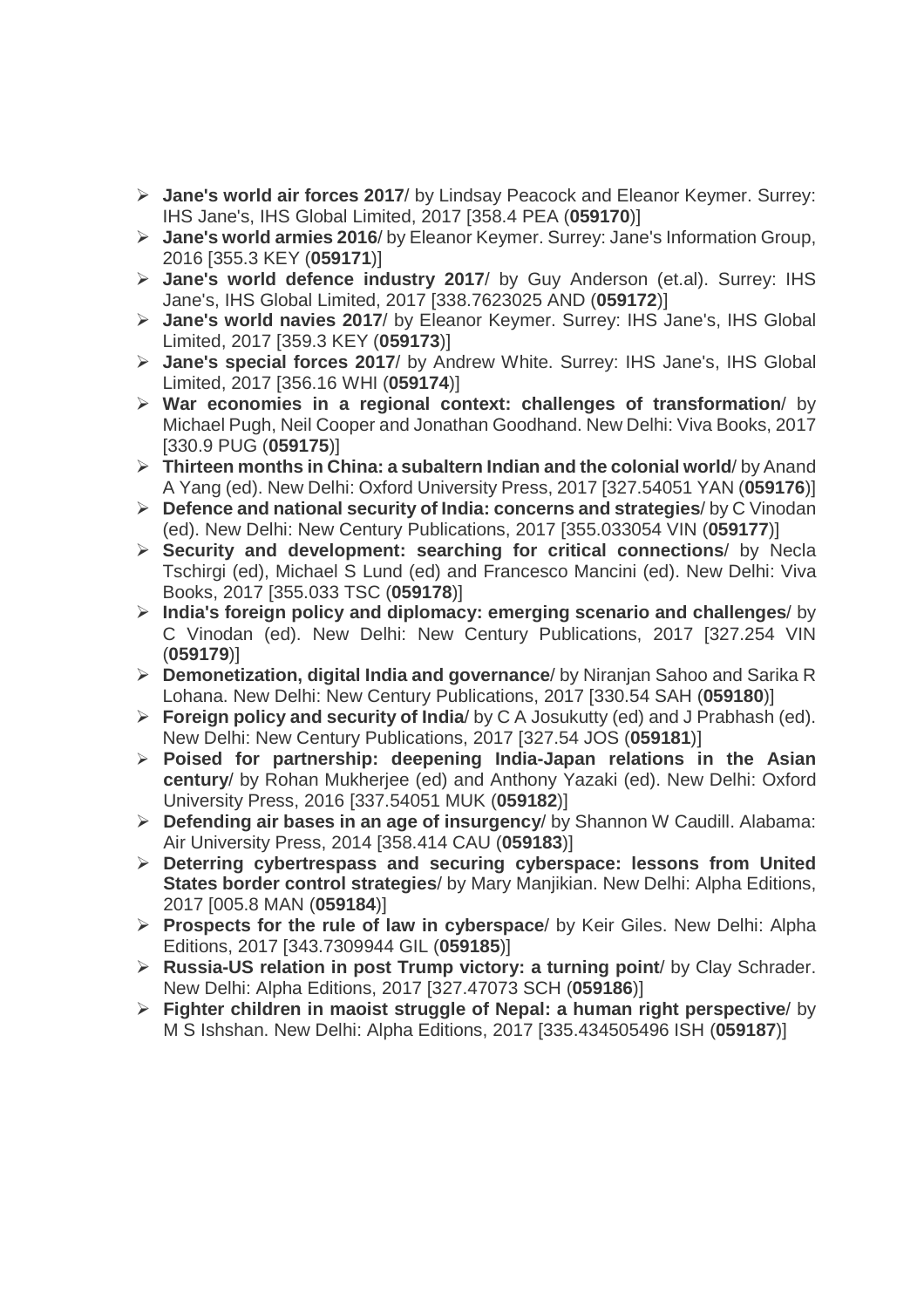- **Jane's world air forces 2017**/ by Lindsay Peacock and Eleanor Keymer. Surrey: IHS Jane's, IHS Global Limited, 2017 [358.4 PEA (**059170**)]
- **Jane's world armies 2016**/ by Eleanor Keymer. Surrey: Jane's Information Group, 2016 [355.3 KEY (**059171**)]
- **Jane's world defence industry 2017**/ by Guy Anderson (et.al). Surrey: IHS Jane's, IHS Global Limited, 2017 [338.7623025 AND (**059172**)]
- **Jane's world navies 2017**/ by Eleanor Keymer. Surrey: IHS Jane's, IHS Global Limited, 2017 [359.3 KEY (**059173**)]
- **Jane's special forces 2017**/ by Andrew White. Surrey: IHS Jane's, IHS Global Limited, 2017 [356.16 WHI (**059174**)]
- **War economies in a regional context: challenges of transformation**/ by Michael Pugh, Neil Cooper and Jonathan Goodhand. New Delhi: Viva Books, 2017 [330.9 PUG (**059175**)]
- **Thirteen months in China: a subaltern Indian and the colonial world**/ by Anand A Yang (ed). New Delhi: Oxford University Press, 2017 [327.54051 YAN (**059176**)]
- **Defence and national security of India: concerns and strategies**/ by C Vinodan (ed). New Delhi: New Century Publications, 2017 [355.033054 VIN (**059177**)]
- **Security and development: searching for critical connections**/ by Necla Tschirgi (ed), Michael S Lund (ed) and Francesco Mancini (ed). New Delhi: Viva Books, 2017 [355.033 TSC (**059178**)]
- **India's foreign policy and diplomacy: emerging scenario and challenges**/ by C Vinodan (ed). New Delhi: New Century Publications, 2017 [327.254 VIN (**059179**)]
- **Demonetization, digital India and governance**/ by Niranjan Sahoo and Sarika R Lohana. New Delhi: New Century Publications, 2017 [330.54 SAH (**059180**)]
- **Foreign policy and security of India**/ by C A Josukutty (ed) and J Prabhash (ed). New Delhi: New Century Publications, 2017 [327.54 JOS (**059181**)]
- **Poised for partnership: deepening India-Japan relations in the Asian century**/ by Rohan Mukherjee (ed) and Anthony Yazaki (ed). New Delhi: Oxford University Press, 2016 [337.54051 MUK (**059182**)]
- **Defending air bases in an age of insurgency**/ by Shannon W Caudill. Alabama: Air University Press, 2014 [358.414 CAU (**059183**)]
- **Deterring cybertrespass and securing cyberspace: lessons from United States border control strategies**/ by Mary Manjikian. New Delhi: Alpha Editions, 2017 [005.8 MAN (**059184**)]
- **Prospects for the rule of law in cyberspace**/ by Keir Giles. New Delhi: Alpha Editions, 2017 [343.7309944 GIL (**059185**)]
- **Russia-US relation in post Trump victory: a turning point**/ by Clay Schrader. New Delhi: Alpha Editions, 2017 [327.47073 SCH (**059186**)]
- **Fighter children in maoist struggle of Nepal: a human right perspective**/ by M S Ishshan. New Delhi: Alpha Editions, 2017 [335.434505496 ISH (**059187**)]